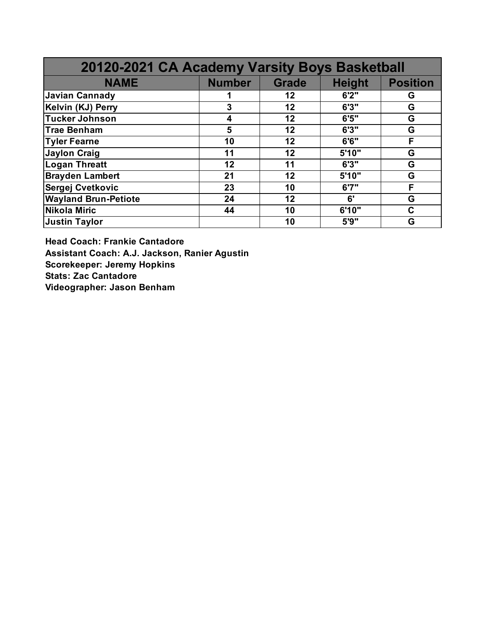| 20120-2021 CA Academy Varsity Boys Basketball |               |              |               |                 |
|-----------------------------------------------|---------------|--------------|---------------|-----------------|
| <b>NAME</b>                                   | <b>Number</b> | <b>Grade</b> | <b>Height</b> | <b>Position</b> |
| <b>Javian Cannady</b>                         |               | 12           | 6'2''         | G               |
| Kelvin (KJ) Perry                             | 3             | 12           | 6'3''         | G               |
| <b>Tucker Johnson</b>                         | 4             | 12           | 6'5''         | G               |
| <b>Trae Benham</b>                            | 5             | 12           | 6'3''         | G               |
| <b>Tyler Fearne</b>                           | 10            | 12           | 6'6''         | F               |
| <b>Jaylon Craig</b>                           | 11            | 12           | 5'10"         | G               |
| <b>Logan Threatt</b>                          | 12            | 11           | 6'3''         | G               |
| <b>Brayden Lambert</b>                        | 21            | 12           | 5'10"         | G               |
| Sergej Cvetkovic                              | 23            | 10           | 6'7''         | F               |
| <b>Wayland Brun-Petiote</b>                   | 24            | 12           | 6'            | G               |
| <b>Nikola Miric</b>                           | 44            | 10           | 6'10"         | C               |
| <b>Justin Taylor</b>                          |               | 10           | 5'9''         | G               |

**Head Coach: Frankie Cantadore Assistant Coach: A.J. Jackson, Ranier Agustin Scorekeeper: Jeremy Hopkins Stats: Zac Cantadore Videographer: Jason Benham**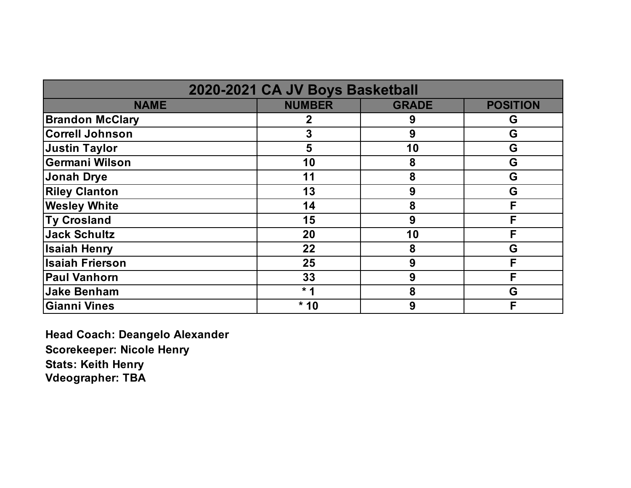| 2020-2021 CA JV Boys Basketball |               |              |                 |
|---------------------------------|---------------|--------------|-----------------|
| <b>NAME</b>                     | <b>NUMBER</b> | <b>GRADE</b> | <b>POSITION</b> |
| <b>Brandon McClary</b>          | 2             | 9            | G               |
| <b>Correll Johnson</b>          | 3             | 9            | G               |
| Justin Taylor                   | 5             | 10           | G               |
| <b>Germani Wilson</b>           | 10            | 8            | G               |
| Jonah Drye                      | 11            | 8            | G               |
| <b>Riley Clanton</b>            | 13            | 9            | G               |
| <b>Wesley White</b>             | 14            | 8            | F               |
| <b>Ty Crosland</b>              | 15            | 9            | F               |
| Jack Schultz                    | 20            | 10           | F               |
| <b>Isaiah Henry</b>             | 22            | 8            | G               |
| <b>Isaiah Frierson</b>          | 25            | 9            | F               |
| <b>Paul Vanhorn</b>             | 33            | 9            | F               |
| <b>Jake Benham</b>              | $*1$          | 8            | G               |
| <b>Gianni Vines</b>             | $*10$         | 9            | F               |

**Head Coach: Deangelo Alexander Scorekeeper: Nicole Henry Stats: Keith Henry Vdeographer: TBA**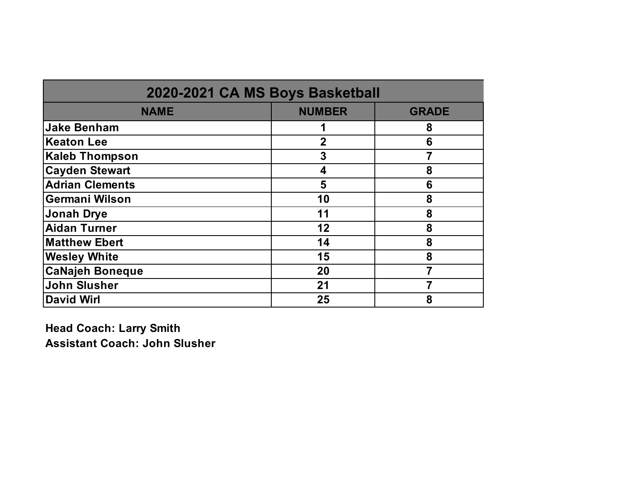| 2020-2021 CA MS Boys Basketball |               |              |  |
|---------------------------------|---------------|--------------|--|
| <b>NAME</b>                     | <b>NUMBER</b> | <b>GRADE</b> |  |
| <b>Jake Benham</b>              |               | 8            |  |
| <b>Keaton Lee</b>               | $\mathbf 2$   | 6            |  |
| <b>Kaleb Thompson</b>           | 3             |              |  |
| <b>Cayden Stewart</b>           | 4             | 8            |  |
| <b>Adrian Clements</b>          | 5             | 6            |  |
| <b>Germani Wilson</b>           | 10            | 8            |  |
| <b>Jonah Drye</b>               | 11            | 8            |  |
| <b>Aidan Turner</b>             | 12            | 8            |  |
| <b>Matthew Ebert</b>            | 14            | 8            |  |
| <b>Wesley White</b>             | 15            | 8            |  |
| <b>CaNajeh Boneque</b>          | 20            |              |  |
| John Slusher                    | 21            |              |  |
| <b>David Wirl</b>               | 25            | 8            |  |

**Head Coach: Larry Smith Assistant Coach: John Slusher**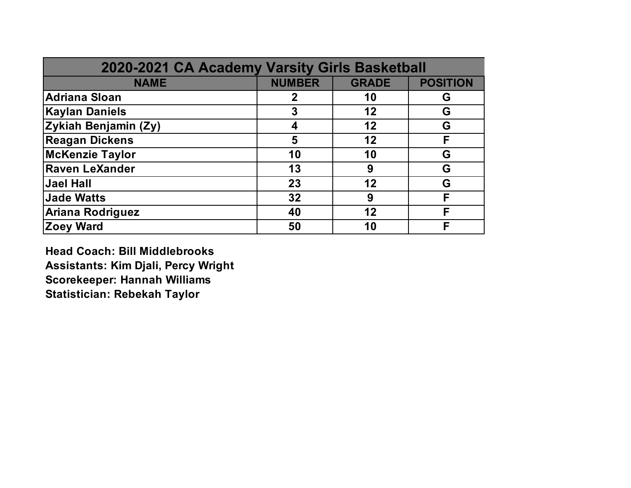| 2020-2021 CA Academy Varsity Girls Basketball |               |              |                 |
|-----------------------------------------------|---------------|--------------|-----------------|
| <b>NAME</b>                                   | <b>NUMBER</b> | <b>GRADE</b> | <b>POSITION</b> |
| Adriana Sloan                                 | $\mathbf 2$   | 10           | G               |
| <b>Kaylan Daniels</b>                         | 3             | 12           | G               |
| Zykiah Benjamin (Zy)                          | 4             | 12           | G               |
| <b>Reagan Dickens</b>                         | 5             | 12           | F               |
| <b>McKenzie Taylor</b>                        | 10            | 10           | G               |
| <b>Raven LeXander</b>                         | 13            | 9            | G               |
| Jael Hall                                     | 23            | 12           | G               |
| <b>Jade Watts</b>                             | 32            | 9            | F               |
| Ariana Rodriguez                              | 40            | 12           | F               |
| <b>Zoey Ward</b>                              | 50            | 10           | F               |

**Head Coach: Bill Middlebrooks Assistants: Kim Djali, Percy Wright Scorekeeper: Hannah Williams Statistician: Rebekah Taylor**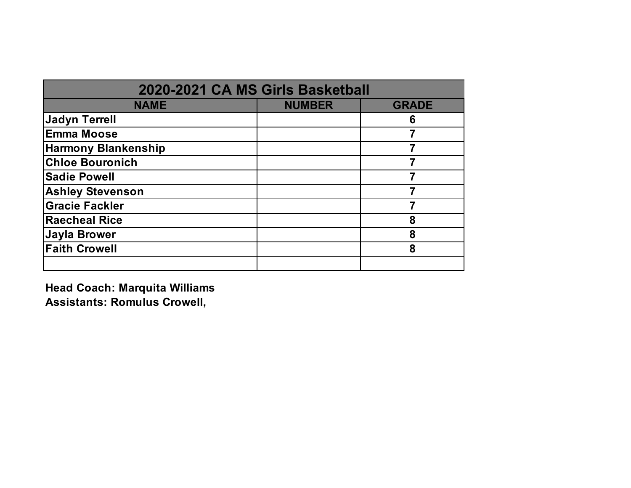| 2020-2021 CA MS Girls Basketball |               |              |  |
|----------------------------------|---------------|--------------|--|
| <b>NAME</b>                      | <b>NUMBER</b> | <b>GRADE</b> |  |
| <b>Jadyn Terrell</b>             |               | 6            |  |
| <b>Emma Moose</b>                |               |              |  |
| <b>Harmony Blankenship</b>       |               |              |  |
| <b>Chloe Bouronich</b>           |               |              |  |
| <b>Sadie Powell</b>              |               |              |  |
| <b>Ashley Stevenson</b>          |               |              |  |
| <b>Gracie Fackler</b>            |               |              |  |
| <b>Raecheal Rice</b>             |               | 8            |  |
| <b>Jayla Brower</b>              |               | 8            |  |
| <b>Faith Crowell</b>             |               | 8            |  |
|                                  |               |              |  |

**Head Coach: Marquita Williams Assistants: Romulus Crowell,**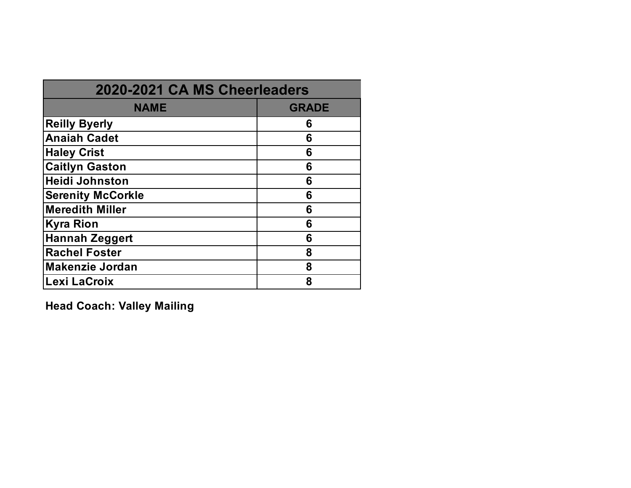| 2020-2021 CA MS Cheerleaders |              |  |
|------------------------------|--------------|--|
| <b>NAME</b>                  | <b>GRADE</b> |  |
| <b>Reilly Byerly</b>         | 6            |  |
| <b>Anaiah Cadet</b>          | 6            |  |
| <b>Haley Crist</b>           | 6            |  |
| <b>Caitlyn Gaston</b>        | 6            |  |
| <b>Heidi Johnston</b>        | 6            |  |
| <b>Serenity McCorkle</b>     | 6            |  |
| <b>Meredith Miller</b>       | 6            |  |
| <b>Kyra Rion</b>             | 6            |  |
| <b>Hannah Zeggert</b>        | 6            |  |
| <b>Rachel Foster</b>         | 8            |  |
| <b>Makenzie Jordan</b>       | 8            |  |
| Lexi LaCroix                 | 8            |  |

**Head Coach: Valley Mailing**